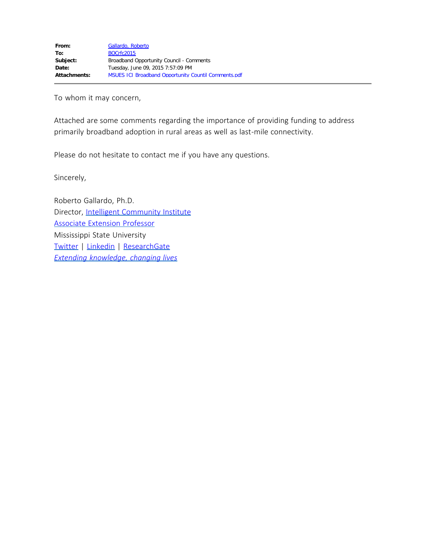To whom it may concern,

Attached are some comments regarding the importance of providing funding to address primarily broadband adoption in rural areas as well as last-mile connectivity.

Please do not hesitate to contact me if you have any questions.

Sincerely,

Roberto Gallardo, Ph.D. Director, [Intelligent Community Institute](file:////c/ici.msucares.com) [Associate Extension Professor](file:////c/techoutreach.msucares.com) Mississippi State University [Twitter](https://twitter.com/robertoge) | [Linkedin](http://www.linkedin.com/in/robertoge) | [ResearchGate](http://www.researchgate.net/profile/Roberto_Gallardo) *[Extending knowledge, changing lives](http://www.msucares.com/)*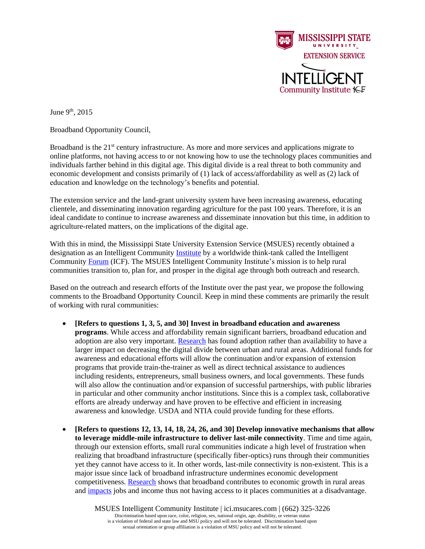

June  $9<sup>th</sup>$ , 2015

Broadband Opportunity Council,

Broadband is the  $21<sup>st</sup>$  century infrastructure. As more and more services and applications migrate to online platforms, not having access to or not knowing how to use the technology places communities and individuals farther behind in this digital age. This digital divide is a real threat to both community and economic development and consists primarily of (1) lack of access/affordability as well as (2) lack of education and knowledge on the technology's benefits and potential.

The extension service and the land-grant university system have been increasing awareness, educating clientele, and disseminating innovation regarding agriculture for the past 100 years. Therefore, it is an ideal candidate to continue to increase awareness and disseminate innovation but this time, in addition to agriculture-related matters, on the implications of the digital age.

With this in mind, the Mississippi State University Extension Service (MSUES) recently obtained a designation as an Intelligent Community [Institute](http://ici.msucares.com/) by a worldwide think-tank called the Intelligent Community [Forum](http://www.intelligentcommunity.org/) (ICF). The MSUES Intelligent Community Institute's mission is to help rural communities transition to, plan for, and prosper in the digital age through both outreach and research.

Based on the outreach and research efforts of the Institute over the past year, we propose the following comments to the Broadband Opportunity Council. Keep in mind these comments are primarily the result of working with rural communities:

- **[Refers to questions 1, 3, 5, and 30] Invest in broadband education and awareness programs**. While access and affordability remain significant barriers, broadband education and adoption are also very important. [Research](http://www.sciencedirect.com/science/article/pii/S0740624X15000325) has found adoption rather than availability to have a larger impact on decreasing the digital divide between urban and rural areas. Additional funds for awareness and educational efforts will allow the continuation and/or expansion of extension programs that provide train-the-trainer as well as direct technical assistance to audiences including residents, entrepreneurs, small business owners, and local governments. These funds will also allow the continuation and/or expansion of successful partnerships, with public libraries in particular and other community anchor institutions. Since this is a complex task, collaborative efforts are already underway and have proven to be effective and efficient in increasing awareness and knowledge. USDA and NTIA could provide funding for these efforts.
- **[Refers to questions 12, 13, 14, 18, 24, 26, and 30] Develop innovative mechanisms that allow to leverage middle-mile infrastructure to deliver last-mile connectivity**. Time and time again, through our extension efforts, small rural communities indicate a high level of frustration when realizing that broadband infrastructure (specifically fiber-optics) runs through their communities yet they cannot have access to it. In other words, last-mile connectivity is non-existent. This is a major issue since lack of broadband infrastructure undermines economic development competitiveness. [Research](http://www.sciencedirect.com/science/article/pii/S0308596114000949) shows that broadband contributes to economic growth in rural areas and [impacts](http://link.springer.com/article/10.1007/s00168-014-0637-x) jobs and income thus not having access to it places communities at a disadvantage.